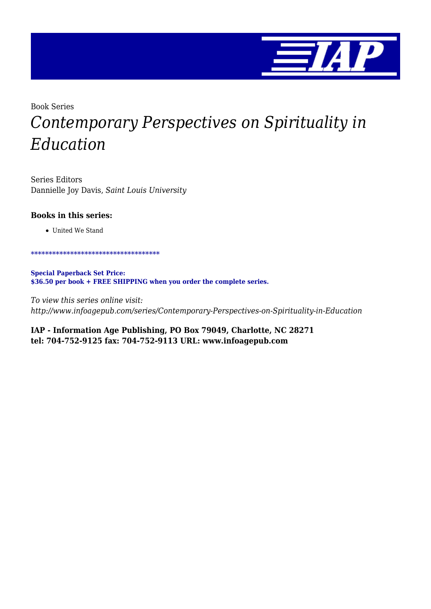

## Book Series *Contemporary Perspectives on Spirituality in Education*

Series Editors Dannielle Joy Davis, *Saint Louis University*

#### **Books in this series:**

United We Stand

\*\*\*\*\*\*\*\*\*\*\*\*\*\*\*\*\*\*\*\*\*\*\*\*\*\*\*\*\*\*\*\*\*\*\*\*

**Special Paperback Set Price: \$36.50 per book + FREE SHIPPING when you order the complete series.**

*To view this series online visit: http://www.infoagepub.com/series/Contemporary-Perspectives-on-Spirituality-in-Education*

**IAP - Information Age Publishing, PO Box 79049, Charlotte, NC 28271 tel: 704-752-9125 fax: 704-752-9113 URL: www.infoagepub.com**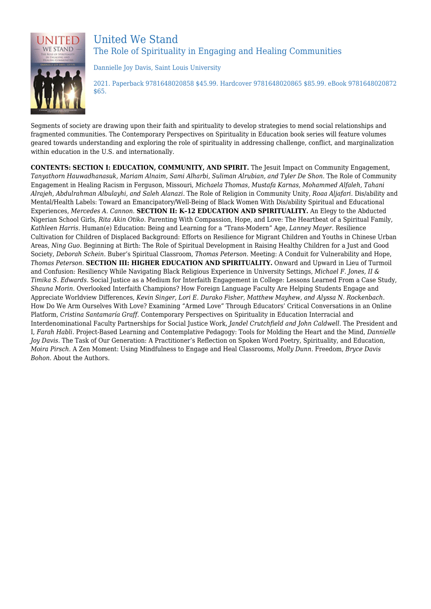

### United We Stand The Role of Spirituality in Engaging and Healing Communities

Dannielle Joy Davis, Saint Louis University

2021. Paperback 9781648020858 \$45.99. Hardcover 9781648020865 \$85.99. eBook 9781648020872 \$65.

Segments of society are drawing upon their faith and spirituality to develop strategies to mend social relationships and fragmented communities. The Contemporary Perspectives on Spirituality in Education book series will feature volumes geared towards understanding and exploring the role of spirituality in addressing challenge, conflict, and marginalization within education in the U.S. and internationally.

**CONTENTS: SECTION I: EDUCATION, COMMUNITY, AND SPIRIT.** The Jesuit Impact on Community Engagement, *Tanyathorn Hauwadhanasuk, Mariam Alnaim, Sami Alharbi, Suliman Alrubian, and Tyler De Shon.* The Role of Community Engagement in Healing Racism in Ferguson, Missouri, *Michaela Thomas, Mustafa Karnas, Mohammed Alfaleh, Tahani Alrajeh, Abdulrahman Albulayhi, and Saleh Alanazi.* The Role of Religion in Community Unity, *Roaa Aljafari.* Dis/ability and Mental/Health Labels: Toward an Emancipatory/Well-Being of Black Women With Dis/ability Spiritual and Educational Experiences, *Mercedes A. Cannon.* **SECTION II: K–12 EDUCATION AND SPIRITUALITY.** An Elegy to the Abducted Nigerian School Girls, *Rita Akin Otiko.* Parenting With Compassion, Hope, and Love: The Heartbeat of a Spiritual Family, *Kathleen Harris.* Human(e) Education: Being and Learning for a "Trans-Modern" Age, *Lanney Mayer.* Resilience Cultivation for Children of Displaced Background: Efforts on Resilience for Migrant Children and Youths in Chinese Urban Areas, *Ning Guo.* Beginning at Birth: The Role of Spiritual Development in Raising Healthy Children for a Just and Good Society, *Deborah Schein.* Buber's Spiritual Classroom, *Thomas Peterson.* Meeting: A Conduit for Vulnerability and Hope, *Thomas Peterson.* **SECTION III: HIGHER EDUCATION AND SPIRITUALITY.** Onward and Upward in Lieu of Turmoil and Confusion: Resiliency While Navigating Black Religious Experience in University Settings, *Michael F. Jones, II & Timika S. Edwards.* Social Justice as a Medium for Interfaith Engagement in College: Lessons Learned From a Case Study, *Shauna Morin.* Overlooked Interfaith Champions? How Foreign Language Faculty Are Helping Students Engage and Appreciate Worldview Differences, *Kevin Singer, Lori E. Durako Fisher, Matthew Mayhew, and Alyssa N. Rockenbach.* How Do We Arm Ourselves With Love? Examining "Armed Love" Through Educators' Critical Conversations in an Online Platform, *Cristina Santamaría Graff.* Contemporary Perspectives on Spirituality in Education Interracial and Interdenominational Faculty Partnerships for Social Justice Work, *Jandel Crutchfield and John Caldwell.* The President and I, *Farah Habli.* Project-Based Learning and Contemplative Pedagogy: Tools for Molding the Heart and the Mind, *Dannielle Joy Davis.* The Task of Our Generation: A Practitioner's Reflection on Spoken Word Poetry, Spirituality, and Education, *Moira Pirsch.* A Zen Moment: Using Mindfulness to Engage and Heal Classrooms, *Molly Dunn.* Freedom, *Bryce Davis Bohon.* About the Authors.